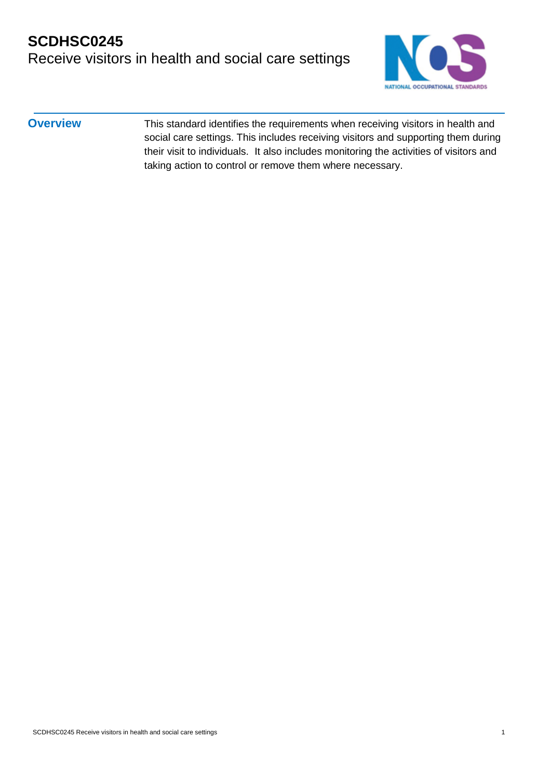# **SCDHSC0245** Receive visitors in health and social care settings



**Overview** This standard identifies the requirements when receiving visitors in health and social care settings. This includes receiving visitors and supporting them during their visit to individuals. It also includes monitoring the activities of visitors and taking action to control or remove them where necessary.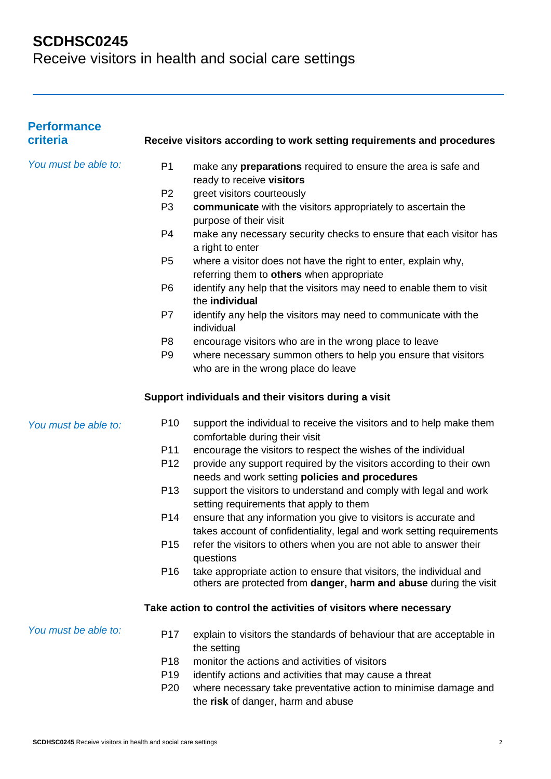| <b>Performance</b><br>criteria |                 | Receive visitors according to work setting requirements and procedures                                                                    |
|--------------------------------|-----------------|-------------------------------------------------------------------------------------------------------------------------------------------|
| You must be able to:           | P <sub>1</sub>  | make any <b>preparations</b> required to ensure the area is safe and<br>ready to receive visitors                                         |
|                                | P <sub>2</sub>  | greet visitors courteously                                                                                                                |
|                                | P <sub>3</sub>  | communicate with the visitors appropriately to ascertain the<br>purpose of their visit                                                    |
|                                | P <sub>4</sub>  | make any necessary security checks to ensure that each visitor has<br>a right to enter                                                    |
|                                | P <sub>5</sub>  | where a visitor does not have the right to enter, explain why,<br>referring them to others when appropriate                               |
|                                | P <sub>6</sub>  | identify any help that the visitors may need to enable them to visit<br>the individual                                                    |
|                                | P7              | identify any help the visitors may need to communicate with the<br>individual                                                             |
|                                | P <sub>8</sub>  | encourage visitors who are in the wrong place to leave                                                                                    |
|                                | P <sub>9</sub>  | where necessary summon others to help you ensure that visitors<br>who are in the wrong place do leave                                     |
|                                |                 | Support individuals and their visitors during a visit                                                                                     |
| You must be able to:           | P <sub>10</sub> | support the individual to receive the visitors and to help make them<br>comfortable during their visit                                    |
|                                | P <sub>11</sub> | encourage the visitors to respect the wishes of the individual                                                                            |
|                                | P <sub>12</sub> | provide any support required by the visitors according to their own<br>needs and work setting policies and procedures                     |
|                                | P <sub>13</sub> | support the visitors to understand and comply with legal and work<br>setting requirements that apply to them                              |
|                                | P <sub>14</sub> | ensure that any information you give to visitors is accurate and<br>takes account of confidentiality, legal and work setting requirements |
|                                | P <sub>15</sub> | refer the visitors to others when you are not able to answer their<br>questions                                                           |
|                                | P <sub>16</sub> | take appropriate action to ensure that visitors, the individual and<br>others are protected from danger, harm and abuse during the visit  |
|                                |                 | Take action to control the activities of visitors where necessary                                                                         |
| You must be able to:           | P <sub>17</sub> | explain to visitors the standards of behaviour that are acceptable in<br>the setting                                                      |
|                                | P <sub>18</sub> | monitor the actions and activities of visitors                                                                                            |
|                                | P <sub>19</sub> | identify actions and activities that may cause a threat                                                                                   |
|                                | P <sub>20</sub> | where necessary take preventative action to minimise damage and<br>the risk of danger, harm and abuse                                     |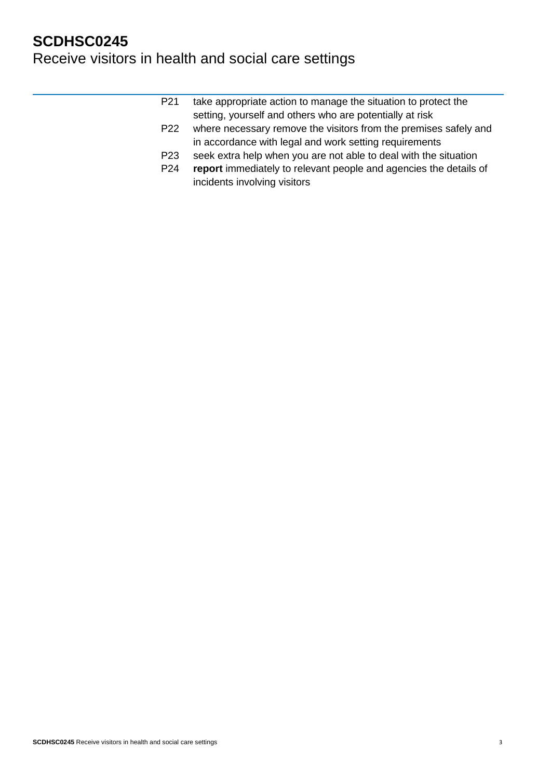| P <sub>21</sub> | take appropriate action to manage the situation to protect the    |
|-----------------|-------------------------------------------------------------------|
|                 | setting, yourself and others who are potentially at risk          |
| P22             | where necessary remove the visitors from the premises safely and  |
|                 | in accordance with legal and work setting requirements            |
| P23             | seek extra help when you are not able to deal with the situation  |
| P <sub>24</sub> | report immediately to relevant people and agencies the details of |
|                 | incidents involving visitors                                      |
|                 |                                                                   |
|                 |                                                                   |
|                 |                                                                   |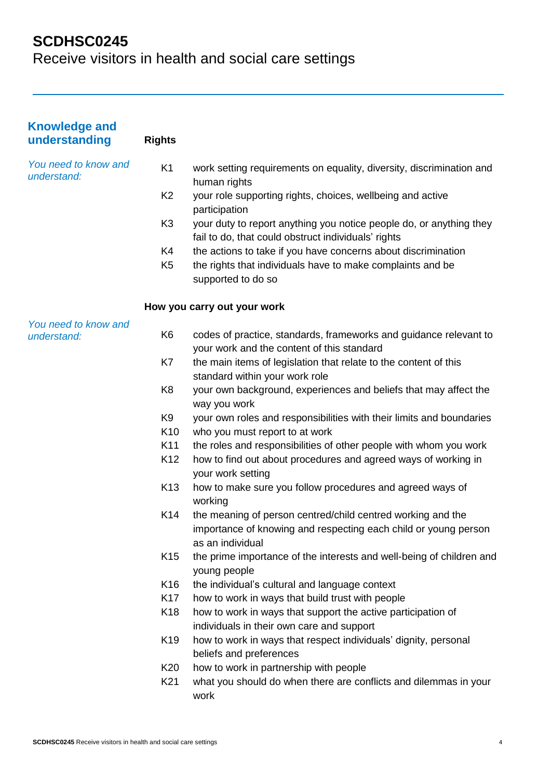| <b>Knowledge and</b><br>understanding | <b>Rights</b>   |                                                                                                                                                    |
|---------------------------------------|-----------------|----------------------------------------------------------------------------------------------------------------------------------------------------|
| You need to know and<br>understand:   | K <sub>1</sub>  | work setting requirements on equality, diversity, discrimination and<br>human rights                                                               |
|                                       | K <sub>2</sub>  | your role supporting rights, choices, wellbeing and active<br>participation                                                                        |
|                                       | K <sub>3</sub>  | your duty to report anything you notice people do, or anything they<br>fail to do, that could obstruct individuals' rights                         |
|                                       | K4              | the actions to take if you have concerns about discrimination                                                                                      |
|                                       | K <sub>5</sub>  | the rights that individuals have to make complaints and be<br>supported to do so                                                                   |
|                                       |                 | How you carry out your work                                                                                                                        |
| You need to know and<br>understand:   | K <sub>6</sub>  | codes of practice, standards, frameworks and guidance relevant to<br>your work and the content of this standard                                    |
|                                       | K7              | the main items of legislation that relate to the content of this<br>standard within your work role                                                 |
|                                       | K <sub>8</sub>  | your own background, experiences and beliefs that may affect the<br>way you work                                                                   |
|                                       | K <sub>9</sub>  | your own roles and responsibilities with their limits and boundaries                                                                               |
|                                       | K <sub>10</sub> | who you must report to at work                                                                                                                     |
|                                       | K11             | the roles and responsibilities of other people with whom you work                                                                                  |
|                                       | K <sub>12</sub> | how to find out about procedures and agreed ways of working in<br>your work setting                                                                |
|                                       | K <sub>13</sub> | how to make sure you follow procedures and agreed ways of<br>working                                                                               |
|                                       | K14             | the meaning of person centred/child centred working and the<br>importance of knowing and respecting each child or young person<br>as an individual |
|                                       | K <sub>15</sub> | the prime importance of the interests and well-being of children and<br>young people                                                               |
|                                       | K <sub>16</sub> | the individual's cultural and language context                                                                                                     |
|                                       | K <sub>17</sub> | how to work in ways that build trust with people                                                                                                   |
|                                       | K <sub>18</sub> | how to work in ways that support the active participation of<br>individuals in their own care and support                                          |
|                                       | K <sub>19</sub> | how to work in ways that respect individuals' dignity, personal<br>beliefs and preferences                                                         |
|                                       | K <sub>20</sub> | how to work in partnership with people                                                                                                             |
|                                       | K <sub>21</sub> | what you should do when there are conflicts and dilemmas in your<br>work                                                                           |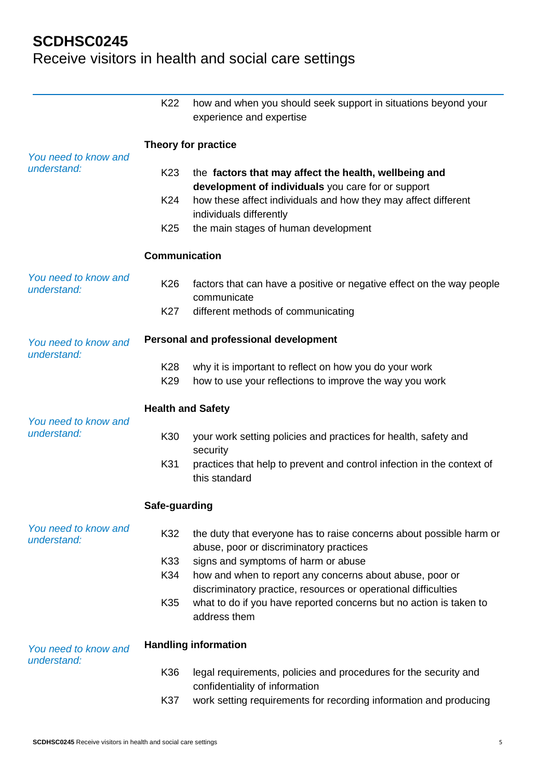|                                     | K22                                | how and when you should seek support in situations beyond your<br>experience and expertise                                 |  |
|-------------------------------------|------------------------------------|----------------------------------------------------------------------------------------------------------------------------|--|
| You need to know and                | Theory for practice                |                                                                                                                            |  |
| understand:                         | K <sub>23</sub>                    | the factors that may affect the health, wellbeing and<br>development of individuals you care for or support                |  |
|                                     | K24                                | how these affect individuals and how they may affect different<br>individuals differently                                  |  |
|                                     | K <sub>25</sub>                    | the main stages of human development                                                                                       |  |
|                                     | <b>Communication</b>               |                                                                                                                            |  |
| You need to know and<br>understand: | K <sub>26</sub>                    | factors that can have a positive or negative effect on the way people<br>communicate                                       |  |
|                                     | K <sub>27</sub>                    | different methods of communicating                                                                                         |  |
| You need to know and<br>understand: |                                    | Personal and professional development                                                                                      |  |
|                                     | K <sub>28</sub><br>K <sub>29</sub> | why it is important to reflect on how you do your work<br>how to use your reflections to improve the way you work          |  |
| You need to know and<br>understand: | <b>Health and Safety</b>           |                                                                                                                            |  |
|                                     | K30                                | your work setting policies and practices for health, safety and<br>security                                                |  |
|                                     | K31                                | practices that help to prevent and control infection in the context of<br>this standard                                    |  |
|                                     | Safe-guarding                      |                                                                                                                            |  |
| You need to know and<br>understand: | K32                                | the duty that everyone has to raise concerns about possible harm or<br>abuse, poor or discriminatory practices             |  |
|                                     | K33                                | signs and symptoms of harm or abuse                                                                                        |  |
|                                     | K34                                | how and when to report any concerns about abuse, poor or<br>discriminatory practice, resources or operational difficulties |  |
|                                     | K35                                | what to do if you have reported concerns but no action is taken to<br>address them                                         |  |
| You need to know and<br>understand: |                                    | <b>Handling information</b>                                                                                                |  |
|                                     | K36                                | legal requirements, policies and procedures for the security and                                                           |  |
|                                     | <b>K37</b>                         | confidentiality of information<br>work setting requirements for recording information and producing                        |  |
|                                     |                                    |                                                                                                                            |  |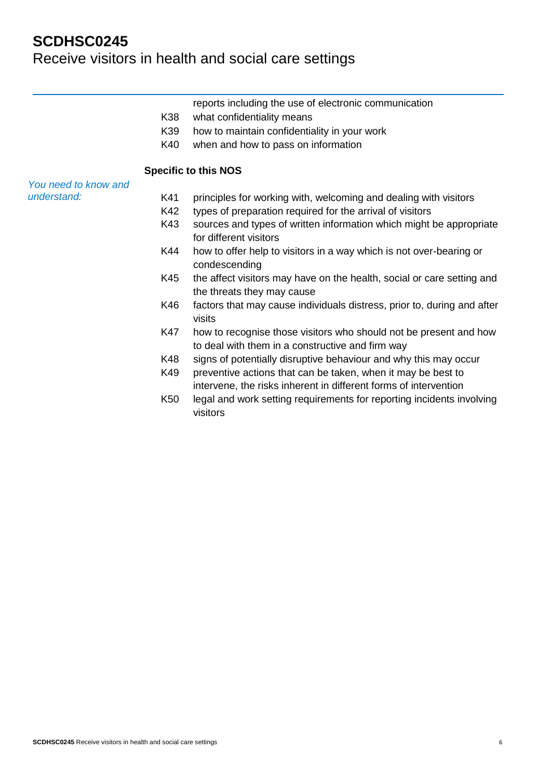|                      |                 | reports including the use of electronic communication                                                                            |
|----------------------|-----------------|----------------------------------------------------------------------------------------------------------------------------------|
|                      | K38             | what confidentiality means                                                                                                       |
|                      | K39             | how to maintain confidentiality in your work                                                                                     |
|                      | K40             | when and how to pass on information                                                                                              |
|                      |                 | <b>Specific to this NOS</b>                                                                                                      |
| You need to know and |                 |                                                                                                                                  |
| understand:          | K41             | principles for working with, welcoming and dealing with visitors                                                                 |
|                      | K42             | types of preparation required for the arrival of visitors                                                                        |
|                      | K43             | sources and types of written information which might be appropriate<br>for different visitors                                    |
|                      | K44             | how to offer help to visitors in a way which is not over-bearing or<br>condescending                                             |
|                      | K45             | the affect visitors may have on the health, social or care setting and<br>the threats they may cause                             |
|                      | K46             | factors that may cause individuals distress, prior to, during and after<br>visits                                                |
|                      | K47             | how to recognise those visitors who should not be present and how<br>to deal with them in a constructive and firm way            |
|                      | K48             | signs of potentially disruptive behaviour and why this may occur                                                                 |
|                      | K49             | preventive actions that can be taken, when it may be best to<br>intervene, the risks inherent in different forms of intervention |
|                      | K <sub>50</sub> | legal and work setting requirements for reporting incidents involving<br>visitors                                                |
|                      |                 |                                                                                                                                  |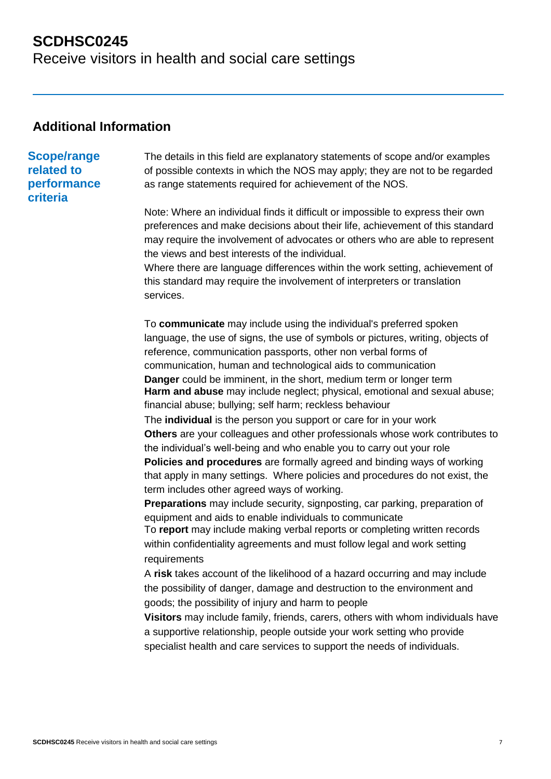## **SCDHSC0245**  Receive visitors in health and social care settings

## **Additional Information**

### **Scope/range related to performance criteria**

The details in this field are explanatory statements of scope and/or examples of possible contexts in which the NOS may apply; they are not to be regarded as range statements required for achievement of the NOS.

Note: Where an individual finds it difficult or impossible to express their own preferences and make decisions about their life, achievement of this standard may require the involvement of advocates or others who are able to represent the views and best interests of the individual.

Where there are language differences within the work setting, achievement of this standard may require the involvement of interpreters or translation services.

To **communicate** may include using the individual's preferred spoken language, the use of signs, the use of symbols or pictures, writing, objects of reference, communication passports, other non verbal forms of communication, human and technological aids to communication **Danger** could be imminent, in the short, medium term or longer term **Harm and abuse** may include neglect; physical, emotional and sexual abuse; financial abuse; bullying; self harm; reckless behaviour

The **individual** is the person you support or care for in your work **Others** are your colleagues and other professionals whose work contributes to the individual's well-being and who enable you to carry out your role

**Policies and procedures** are formally agreed and binding ways of working that apply in many settings. Where policies and procedures do not exist, the term includes other agreed ways of working.

**Preparations** may include security, signposting, car parking, preparation of equipment and aids to enable individuals to communicate

To **report** may include making verbal reports or completing written records within confidentiality agreements and must follow legal and work setting requirements

A **risk** takes account of the likelihood of a hazard occurring and may include the possibility of danger, damage and destruction to the environment and goods; the possibility of injury and harm to people

**Visitors** may include family, friends, carers, others with whom individuals have a supportive relationship, people outside your work setting who provide specialist health and care services to support the needs of individuals.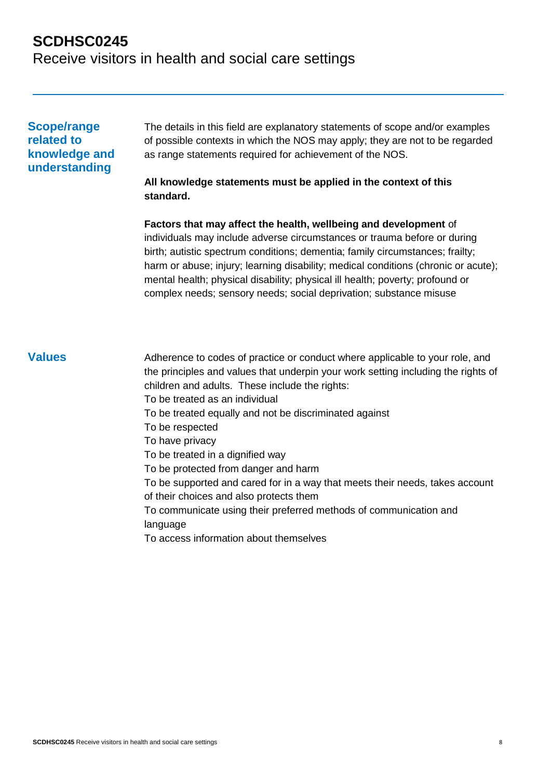## **SCDHSC0245**  Receive visitors in health and social care settings

### **Scope/range related to knowledge and understanding**

The details in this field are explanatory statements of scope and/or examples of possible contexts in which the NOS may apply; they are not to be regarded as range statements required for achievement of the NOS.

**All knowledge statements must be applied in the context of this standard.**

**Factors that may affect the health, wellbeing and development** of individuals may include adverse circumstances or trauma before or during birth; autistic spectrum conditions; dementia; family circumstances; frailty; harm or abuse; injury; learning disability; medical conditions (chronic or acute); mental health; physical disability; physical ill health; poverty; profound or complex needs; sensory needs; social deprivation; substance misuse

**Values** Adherence to codes of practice or conduct where applicable to your role, and the principles and values that underpin your work setting including the rights of children and adults. These include the rights: To be treated as an individual To be treated equally and not be discriminated against To be respected To have privacy To be treated in a dignified way To be protected from danger and harm

To be supported and cared for in a way that meets their needs, takes account of their choices and also protects them

To communicate using their preferred methods of communication and language

To access information about themselves